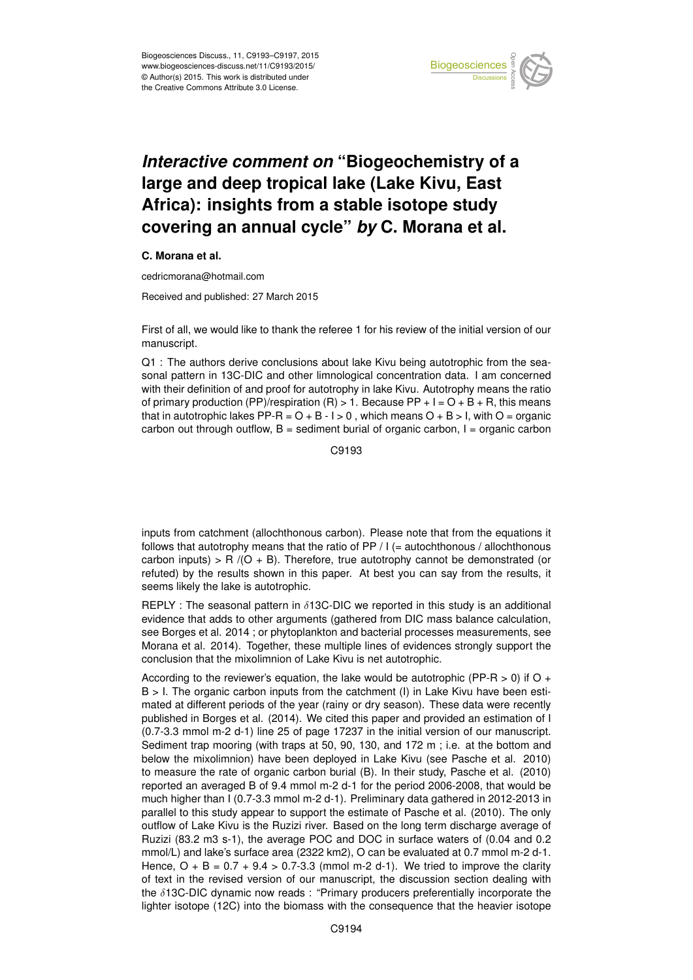

## *Interactive comment on* **"Biogeochemistry of a large and deep tropical lake (Lake Kivu, East Africa): insights from a stable isotope study covering an annual cycle"** *by* **C. Morana et al.**

## **C. Morana et al.**

cedricmorana@hotmail.com

Received and published: 27 March 2015

First of all, we would like to thank the referee 1 for his review of the initial version of our manuscript.

Q1 : The authors derive conclusions about lake Kivu being autotrophic from the seasonal pattern in 13C-DIC and other limnological concentration data. I am concerned with their definition of and proof for autotrophy in lake Kivu. Autotrophy means the ratio of primary production (PP)/respiration (R)  $> 1$ . Because PP + I = O + B + R, this means that in autotrophic lakes PP-R =  $O + B - I > 0$ , which means  $O + B > I$ , with  $O =$  organic carbon out through outflow,  $B =$  sediment burial of organic carbon,  $I =$  organic carbon

C9193

inputs from catchment (allochthonous carbon). Please note that from the equations it follows that autotrophy means that the ratio of  $PP / I$  (= autochthonous / allochthonous carbon inputs) > R  $/(O + B)$ . Therefore, true autotrophy cannot be demonstrated (or refuted) by the results shown in this paper. At best you can say from the results, it seems likely the lake is autotrophic.

REPLY : The seasonal pattern in  $\delta$ 13C-DIC we reported in this study is an additional evidence that adds to other arguments (gathered from DIC mass balance calculation, see Borges et al. 2014 ; or phytoplankton and bacterial processes measurements, see Morana et al. 2014). Together, these multiple lines of evidences strongly support the conclusion that the mixolimnion of Lake Kivu is net autotrophic.

According to the reviewer's equation, the lake would be autotrophic (PP-R  $>$  0) if O + B > I. The organic carbon inputs from the catchment (I) in Lake Kivu have been estimated at different periods of the year (rainy or dry season). These data were recently published in Borges et al. (2014). We cited this paper and provided an estimation of I (0.7-3.3 mmol m-2 d-1) line 25 of page 17237 in the initial version of our manuscript. Sediment trap mooring (with traps at 50, 90, 130, and 172 m; i.e. at the bottom and below the mixolimnion) have been deployed in Lake Kivu (see Pasche et al. 2010) to measure the rate of organic carbon burial (B). In their study, Pasche et al. (2010) reported an averaged B of 9.4 mmol m-2 d-1 for the period 2006-2008, that would be much higher than I (0.7-3.3 mmol m-2 d-1). Preliminary data gathered in 2012-2013 in parallel to this study appear to support the estimate of Pasche et al. (2010). The only outflow of Lake Kivu is the Ruzizi river. Based on the long term discharge average of Ruzizi (83.2 m3 s-1), the average POC and DOC in surface waters of (0.04 and 0.2 mmol/L) and lake's surface area (2322 km2), O can be evaluated at 0.7 mmol m-2 d-1. Hence,  $O + B = 0.7 + 9.4 > 0.7 - 3.3$  (mmol m-2 d-1). We tried to improve the clarity of text in the revised version of our manuscript, the discussion section dealing with the δ13C-DIC dynamic now reads : "Primary producers preferentially incorporate the lighter isotope (12C) into the biomass with the consequence that the heavier isotope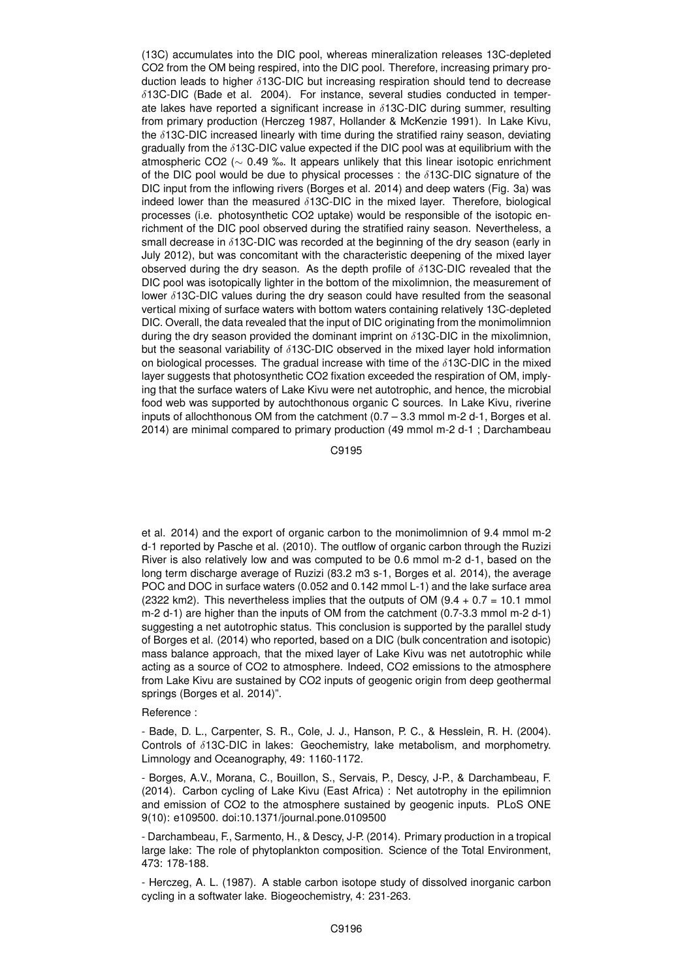(13C) accumulates into the DIC pool, whereas mineralization releases 13C-depleted CO2 from the OM being respired, into the DIC pool. Therefore, increasing primary production leads to higher  $\delta$ 13C-DIC but increasing respiration should tend to decrease  $\delta$ 13C-DIC (Bade et al. 2004). For instance, several studies conducted in temperate lakes have reported a significant increase in  $\delta$ 13C-DIC during summer, resulting from primary production (Herczeg 1987, Hollander & McKenzie 1991). In Lake Kivu, the  $\delta$ 13C-DIC increased linearly with time during the stratified rainy season, deviating gradually from the  $\delta$ 13C-DIC value expected if the DIC pool was at equilibrium with the atmospheric CO2 (∼ 0.49 ‰. It appears unlikely that this linear isotopic enrichment of the DIC pool would be due to physical processes : the  $\delta$ 13C-DIC signature of the DIC input from the inflowing rivers (Borges et al. 2014) and deep waters (Fig. 3a) was indeed lower than the measured  $\delta$ 13C-DIC in the mixed layer. Therefore, biological processes (i.e. photosynthetic CO2 uptake) would be responsible of the isotopic enrichment of the DIC pool observed during the stratified rainy season. Nevertheless, a small decrease in  $\delta$ 13C-DIC was recorded at the beginning of the dry season (early in July 2012), but was concomitant with the characteristic deepening of the mixed layer observed during the dry season. As the depth profile of δ13C-DIC revealed that the DIC pool was isotopically lighter in the bottom of the mixolimnion, the measurement of lower  $\delta$ 13C-DIC values during the dry season could have resulted from the seasonal vertical mixing of surface waters with bottom waters containing relatively 13C-depleted DIC. Overall, the data revealed that the input of DIC originating from the monimolimnion during the dry season provided the dominant imprint on  $\delta$ 13C-DIC in the mixolimnion, but the seasonal variability of  $\delta$ 13C-DIC observed in the mixed layer hold information on biological processes. The gradual increase with time of the  $\delta$ 13C-DIC in the mixed layer suggests that photosynthetic CO2 fixation exceeded the respiration of OM, implying that the surface waters of Lake Kivu were net autotrophic, and hence, the microbial food web was supported by autochthonous organic C sources. In Lake Kivu, riverine inputs of allochthonous OM from the catchment (0.7 – 3.3 mmol m-2 d-1, Borges et al. 2014) are minimal compared to primary production (49 mmol m-2 d-1 ; Darchambeau

C9195

et al. 2014) and the export of organic carbon to the monimolimnion of 9.4 mmol m-2 d-1 reported by Pasche et al. (2010). The outflow of organic carbon through the Ruzizi River is also relatively low and was computed to be 0.6 mmol m-2 d-1, based on the long term discharge average of Ruzizi (83.2 m3 s-1, Borges et al. 2014), the average POC and DOC in surface waters (0.052 and 0.142 mmol L-1) and the lake surface area (2322 km2). This nevertheless implies that the outputs of OM (9.4  $+$  0.7 = 10.1 mmol m-2 d-1) are higher than the inputs of OM from the catchment (0.7-3.3 mmol m-2 d-1) suggesting a net autotrophic status. This conclusion is supported by the parallel study of Borges et al. (2014) who reported, based on a DIC (bulk concentration and isotopic) mass balance approach, that the mixed layer of Lake Kivu was net autotrophic while acting as a source of CO2 to atmosphere. Indeed, CO2 emissions to the atmosphere from Lake Kivu are sustained by CO2 inputs of geogenic origin from deep geothermal springs (Borges et al. 2014)".

Reference :

- Bade, D. L., Carpenter, S. R., Cole, J. J., Hanson, P. C., & Hesslein, R. H. (2004). Controls of δ13C-DIC in lakes: Geochemistry, lake metabolism, and morphometry. Limnology and Oceanography, 49: 1160-1172.

- Borges, A.V., Morana, C., Bouillon, S., Servais, P., Descy, J-P., & Darchambeau, F. (2014). Carbon cycling of Lake Kivu (East Africa) : Net autotrophy in the epilimnion and emission of CO2 to the atmosphere sustained by geogenic inputs. PLoS ONE 9(10): e109500. doi:10.1371/journal.pone.0109500

- Darchambeau, F., Sarmento, H., & Descy, J-P. (2014). Primary production in a tropical large lake: The role of phytoplankton composition. Science of the Total Environment, 473: 178-188.

- Herczeg, A. L. (1987). A stable carbon isotope study of dissolved inorganic carbon cycling in a softwater lake. Biogeochemistry, 4: 231-263.